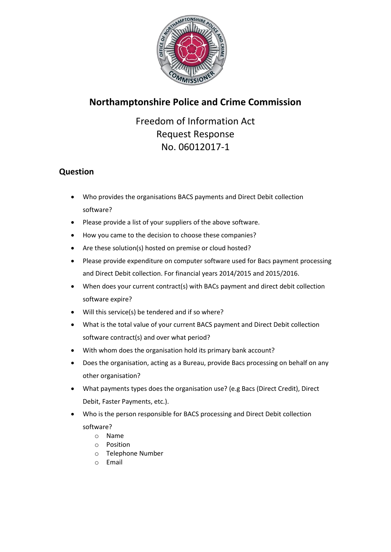

## **Northamptonshire Police and Crime Commission**

Freedom of Information Act Request Response No. 06012017-1

## **Question**

- Who provides the organisations BACS payments and Direct Debit collection software?
- Please provide a list of your suppliers of the above software.
- How you came to the decision to choose these companies?
- Are these solution(s) hosted on premise or cloud hosted?
- Please provide expenditure on computer software used for Bacs payment processing and Direct Debit collection. For financial years 2014/2015 and 2015/2016.
- When does your current contract(s) with BACs payment and direct debit collection software expire?
- Will this service(s) be tendered and if so where?
- What is the total value of your current BACS payment and Direct Debit collection software contract(s) and over what period?
- With whom does the organisation hold its primary bank account?
- Does the organisation, acting as a Bureau, provide Bacs processing on behalf on any other organisation?
- What payments types does the organisation use? (e.g Bacs (Direct Credit), Direct Debit, Faster Payments, etc.).
- Who is the person responsible for BACS processing and Direct Debit collection
	- software?
		- o Name
		- o Position o Telephone Number
		- o Email